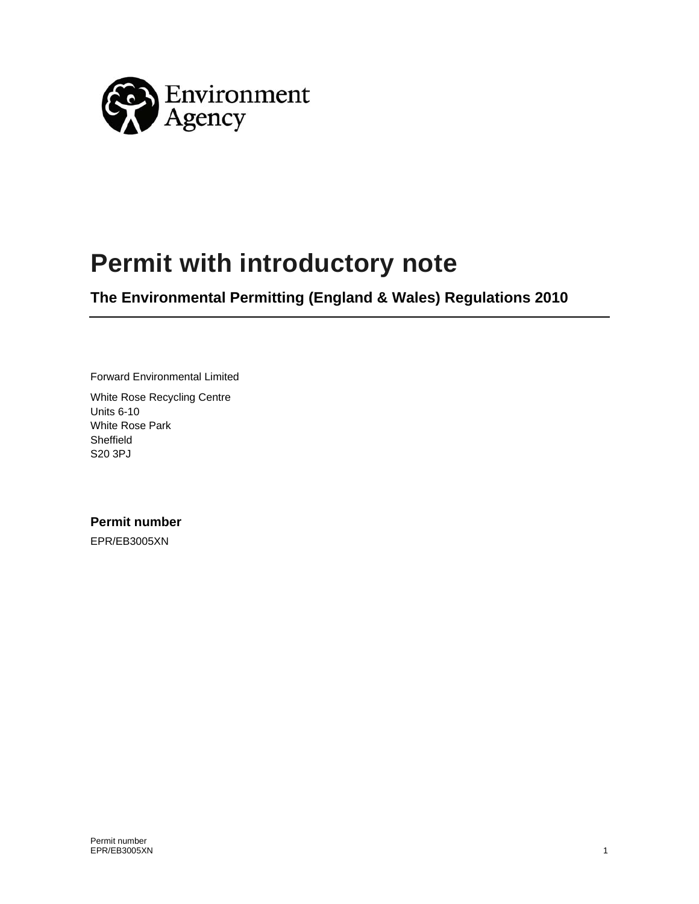

# **Permit with introductory note**

**The Environmental Permitting (England & Wales) Regulations 2010** 

Forward Environmental Limited

White Rose Recycling Centre Units 6-10 White Rose Park Sheffield S20 3PJ

**Permit number**  EPR/EB3005XN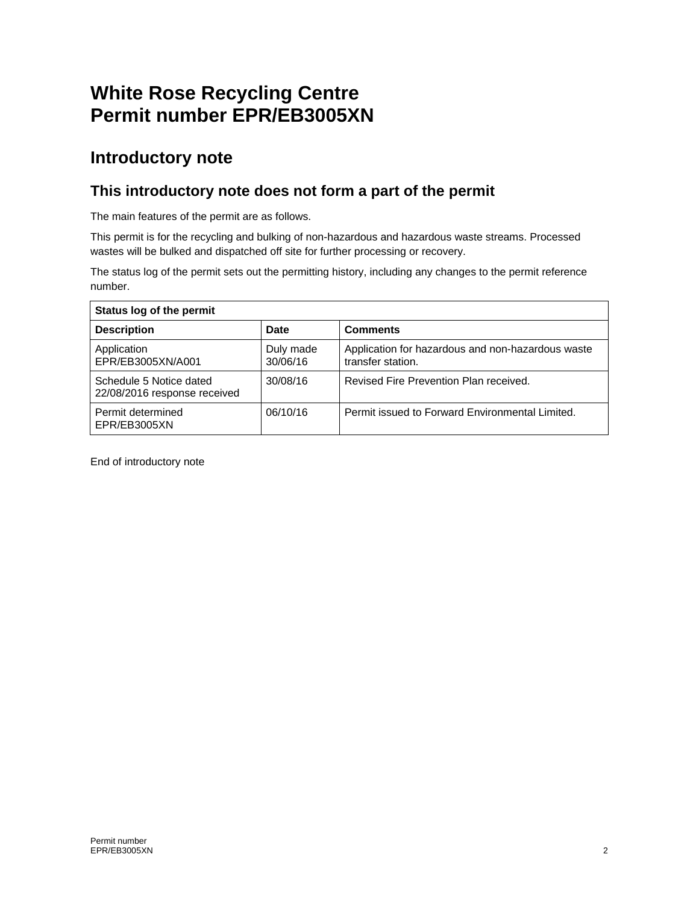## **White Rose Recycling Centre Permit number EPR/EB3005XN**

### **Introductory note**

### **This introductory note does not form a part of the permit**

The main features of the permit are as follows.

This permit is for the recycling and bulking of non-hazardous and hazardous waste streams. Processed wastes will be bulked and dispatched off site for further processing or recovery.

The status log of the permit sets out the permitting history, including any changes to the permit reference number.

| Status log of the permit                                |                       |                                                                        |
|---------------------------------------------------------|-----------------------|------------------------------------------------------------------------|
| <b>Description</b>                                      | Date                  | <b>Comments</b>                                                        |
| Application<br>EPR/EB3005XN/A001                        | Duly made<br>30/06/16 | Application for hazardous and non-hazardous waste<br>transfer station. |
| Schedule 5 Notice dated<br>22/08/2016 response received | 30/08/16              | Revised Fire Prevention Plan received.                                 |
| Permit determined<br>EPR/EB3005XN                       | 06/10/16              | Permit issued to Forward Environmental Limited.                        |

End of introductory note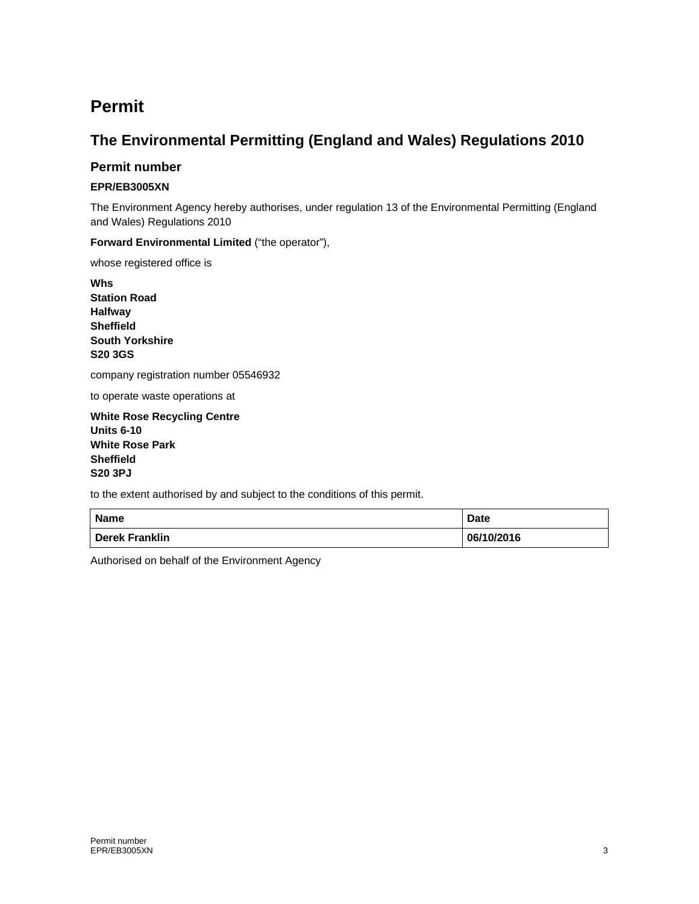## **Permit**

### **The Environmental Permitting (England and Wales) Regulations 2010**

#### **Permit number**

#### **EPR/EB3005XN**

The Environment Agency hereby authorises, under regulation 13 of the Environmental Permitting (England and Wales) Regulations 2010

**Forward Environmental Limited** ("the operator"),

whose registered office is

**Whs Station Road Halfway Sheffield South Yorkshire S20 3GS** 

company registration number 05546932

to operate waste operations at

**White Rose Recycling Centre Units 6-10 White Rose Park Sheffield S20 3PJ** 

to the extent authorised by and subject to the conditions of this permit.

| <b>Name</b>           | <b>Date</b> |
|-----------------------|-------------|
| <b>Derek Franklin</b> | 06/10/2016  |

Authorised on behalf of the Environment Agency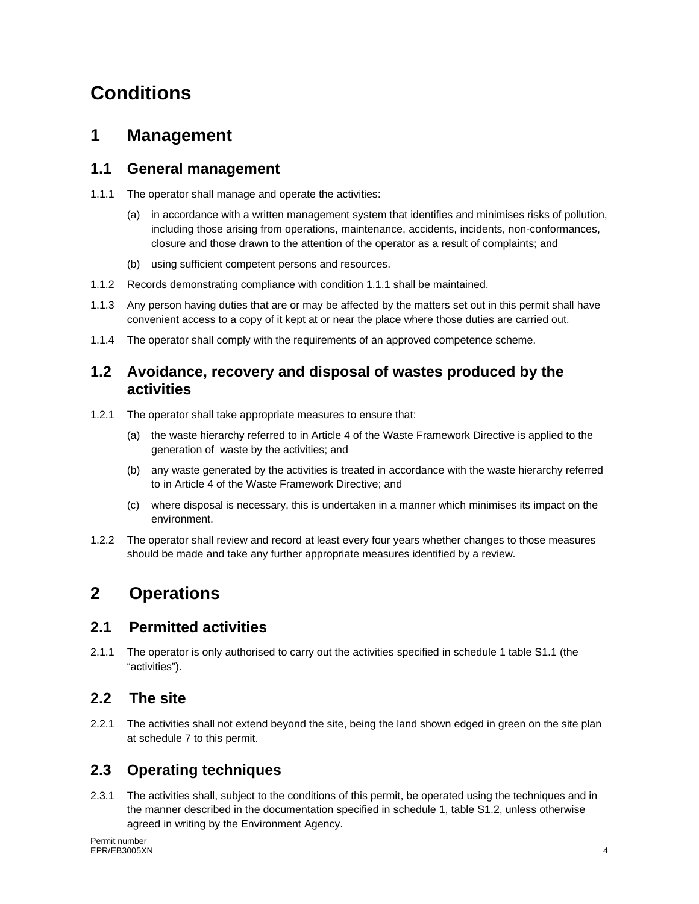## **Conditions**

### **1 Management**

#### **1.1 General management**

- 1.1.1 The operator shall manage and operate the activities:
	- (a) in accordance with a written management system that identifies and minimises risks of pollution, including those arising from operations, maintenance, accidents, incidents, non-conformances, closure and those drawn to the attention of the operator as a result of complaints; and
	- (b) using sufficient competent persons and resources.
- 1.1.2 Records demonstrating compliance with condition 1.1.1 shall be maintained.
- 1.1.3 Any person having duties that are or may be affected by the matters set out in this permit shall have convenient access to a copy of it kept at or near the place where those duties are carried out.
- 1.1.4 The operator shall comply with the requirements of an approved competence scheme.

#### **1.2 Avoidance, recovery and disposal of wastes produced by the activities**

- 1.2.1 The operator shall take appropriate measures to ensure that:
	- (a) the waste hierarchy referred to in Article 4 of the Waste Framework Directive is applied to the generation of waste by the activities; and
	- (b) any waste generated by the activities is treated in accordance with the waste hierarchy referred to in Article 4 of the Waste Framework Directive; and
	- (c) where disposal is necessary, this is undertaken in a manner which minimises its impact on the environment.
- 1.2.2 The operator shall review and record at least every four years whether changes to those measures should be made and take any further appropriate measures identified by a review.

## **2 Operations**

#### **2.1 Permitted activities**

2.1.1 The operator is only authorised to carry out the activities specified in schedule 1 table S1.1 (the "activities").

#### **2.2 The site**

2.2.1 The activities shall not extend beyond the site, being the land shown edged in green on the site plan at schedule 7 to this permit.

### **2.3 Operating techniques**

2.3.1 The activities shall, subject to the conditions of this permit, be operated using the techniques and in the manner described in the documentation specified in schedule 1, table S1.2, unless otherwise agreed in writing by the Environment Agency.

Permit number<br>EPR/EB3005XN EPR/EB3005XN 4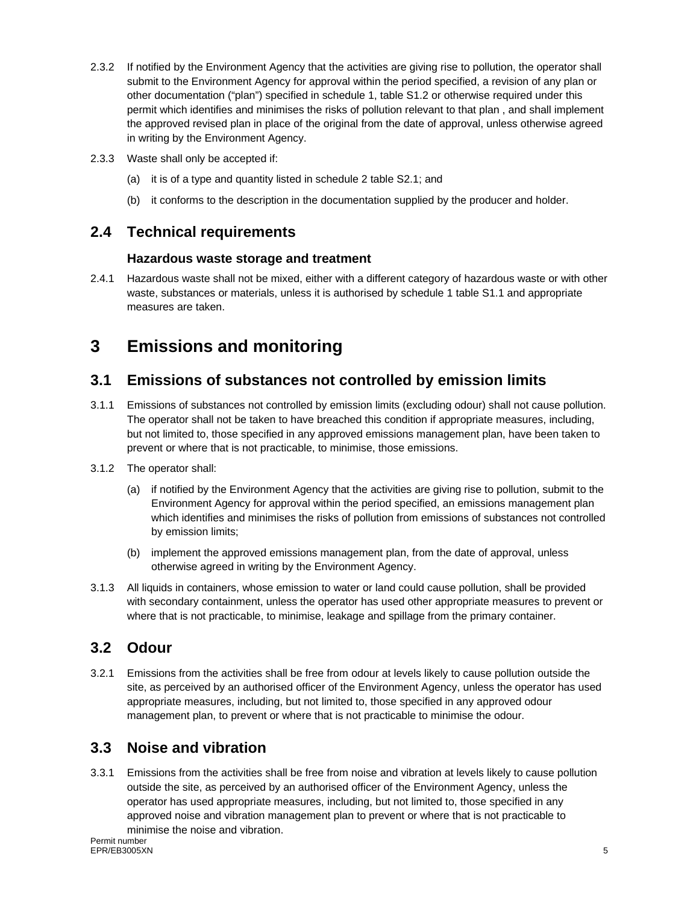- 2.3.2 If notified by the Environment Agency that the activities are giving rise to pollution, the operator shall submit to the Environment Agency for approval within the period specified, a revision of any plan or other documentation ("plan") specified in schedule 1, table S1.2 or otherwise required under this permit which identifies and minimises the risks of pollution relevant to that plan , and shall implement the approved revised plan in place of the original from the date of approval, unless otherwise agreed in writing by the Environment Agency.
- 2.3.3 Waste shall only be accepted if:
	- (a) it is of a type and quantity listed in schedule 2 table S2.1; and
	- (b) it conforms to the description in the documentation supplied by the producer and holder.

#### **2.4 Technical requirements**

#### **Hazardous waste storage and treatment**

2.4.1 Hazardous waste shall not be mixed, either with a different category of hazardous waste or with other waste, substances or materials, unless it is authorised by schedule 1 table S1.1 and appropriate measures are taken.

## **3 Emissions and monitoring**

#### **3.1 Emissions of substances not controlled by emission limits**

- 3.1.1 Emissions of substances not controlled by emission limits (excluding odour) shall not cause pollution. The operator shall not be taken to have breached this condition if appropriate measures, including, but not limited to, those specified in any approved emissions management plan, have been taken to prevent or where that is not practicable, to minimise, those emissions.
- 3.1.2 The operator shall:
	- (a) if notified by the Environment Agency that the activities are giving rise to pollution, submit to the Environment Agency for approval within the period specified, an emissions management plan which identifies and minimises the risks of pollution from emissions of substances not controlled by emission limits;
	- (b) implement the approved emissions management plan, from the date of approval, unless otherwise agreed in writing by the Environment Agency.
- 3.1.3 All liquids in containers, whose emission to water or land could cause pollution, shall be provided with secondary containment, unless the operator has used other appropriate measures to prevent or where that is not practicable, to minimise, leakage and spillage from the primary container.

#### **3.2 Odour**

3.2.1 Emissions from the activities shall be free from odour at levels likely to cause pollution outside the site, as perceived by an authorised officer of the Environment Agency, unless the operator has used appropriate measures, including, but not limited to, those specified in any approved odour management plan, to prevent or where that is not practicable to minimise the odour.

#### **3.3 Noise and vibration**

3.3.1 Emissions from the activities shall be free from noise and vibration at levels likely to cause pollution outside the site, as perceived by an authorised officer of the Environment Agency, unless the operator has used appropriate measures, including, but not limited to, those specified in any approved noise and vibration management plan to prevent or where that is not practicable to minimise the noise and vibration.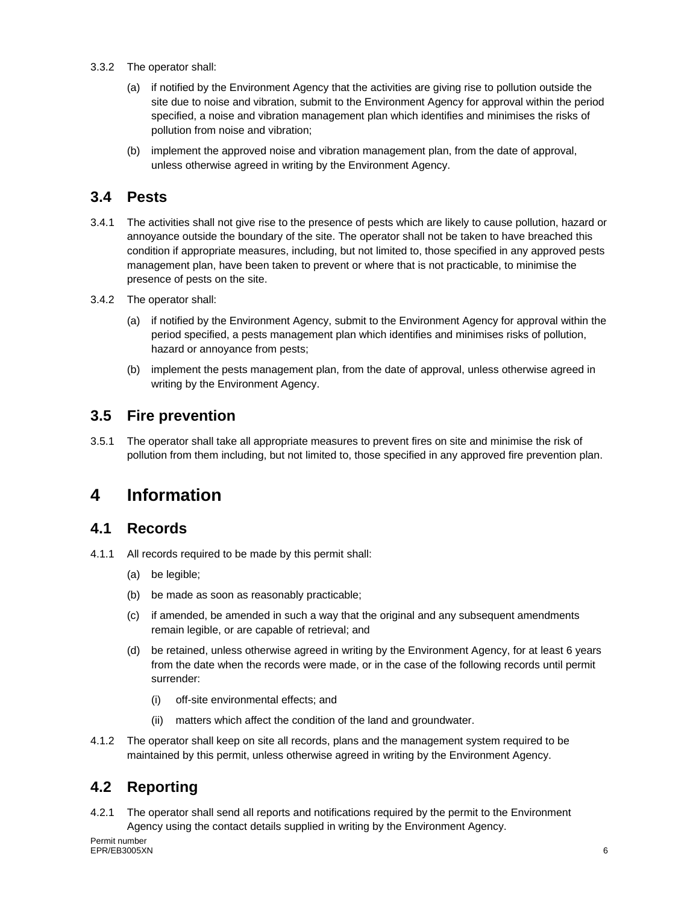- 3.3.2 The operator shall:
	- (a) if notified by the Environment Agency that the activities are giving rise to pollution outside the site due to noise and vibration, submit to the Environment Agency for approval within the period specified, a noise and vibration management plan which identifies and minimises the risks of pollution from noise and vibration;
	- (b) implement the approved noise and vibration management plan, from the date of approval, unless otherwise agreed in writing by the Environment Agency.

#### **3.4 Pests**

- 3.4.1 The activities shall not give rise to the presence of pests which are likely to cause pollution, hazard or annoyance outside the boundary of the site. The operator shall not be taken to have breached this condition if appropriate measures, including, but not limited to, those specified in any approved pests management plan, have been taken to prevent or where that is not practicable, to minimise the presence of pests on the site.
- 3.4.2 The operator shall:
	- (a) if notified by the Environment Agency, submit to the Environment Agency for approval within the period specified, a pests management plan which identifies and minimises risks of pollution, hazard or annoyance from pests;
	- (b) implement the pests management plan, from the date of approval, unless otherwise agreed in writing by the Environment Agency.

#### **3.5 Fire prevention**

3.5.1 The operator shall take all appropriate measures to prevent fires on site and minimise the risk of pollution from them including, but not limited to, those specified in any approved fire prevention plan.

## **4 Information**

#### **4.1 Records**

- 4.1.1 All records required to be made by this permit shall:
	- (a) be legible;
	- (b) be made as soon as reasonably practicable;
	- (c) if amended, be amended in such a way that the original and any subsequent amendments remain legible, or are capable of retrieval; and
	- (d) be retained, unless otherwise agreed in writing by the Environment Agency, for at least 6 years from the date when the records were made, or in the case of the following records until permit surrender:
		- (i) off-site environmental effects; and
		- (ii) matters which affect the condition of the land and groundwater.
- 4.1.2 The operator shall keep on site all records, plans and the management system required to be maintained by this permit, unless otherwise agreed in writing by the Environment Agency.

### **4.2 Reporting**

4.2.1 The operator shall send all reports and notifications required by the permit to the Environment Agency using the contact details supplied in writing by the Environment Agency.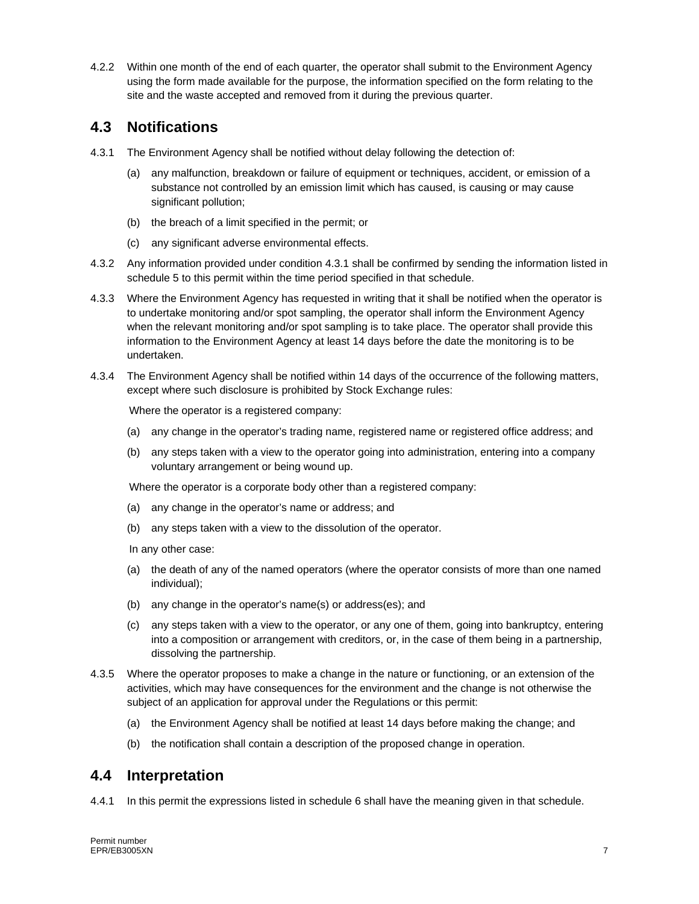4.2.2 Within one month of the end of each quarter, the operator shall submit to the Environment Agency using the form made available for the purpose, the information specified on the form relating to the site and the waste accepted and removed from it during the previous quarter.

#### **4.3 Notifications**

- 4.3.1 The Environment Agency shall be notified without delay following the detection of:
	- (a) any malfunction, breakdown or failure of equipment or techniques, accident, or emission of a substance not controlled by an emission limit which has caused, is causing or may cause significant pollution;
	- (b) the breach of a limit specified in the permit; or
	- (c) any significant adverse environmental effects.
- 4.3.2 Any information provided under condition 4.3.1 shall be confirmed by sending the information listed in schedule 5 to this permit within the time period specified in that schedule.
- 4.3.3 Where the Environment Agency has requested in writing that it shall be notified when the operator is to undertake monitoring and/or spot sampling, the operator shall inform the Environment Agency when the relevant monitoring and/or spot sampling is to take place. The operator shall provide this information to the Environment Agency at least 14 days before the date the monitoring is to be undertaken.
- 4.3.4 The Environment Agency shall be notified within 14 days of the occurrence of the following matters, except where such disclosure is prohibited by Stock Exchange rules:

Where the operator is a registered company:

- (a) any change in the operator's trading name, registered name or registered office address; and
- (b) any steps taken with a view to the operator going into administration, entering into a company voluntary arrangement or being wound up.

Where the operator is a corporate body other than a registered company:

- (a) any change in the operator's name or address; and
- (b) any steps taken with a view to the dissolution of the operator.

In any other case:

- (a) the death of any of the named operators (where the operator consists of more than one named individual);
- (b) any change in the operator's name(s) or address(es); and
- (c) any steps taken with a view to the operator, or any one of them, going into bankruptcy, entering into a composition or arrangement with creditors, or, in the case of them being in a partnership, dissolving the partnership.
- 4.3.5 Where the operator proposes to make a change in the nature or functioning, or an extension of the activities, which may have consequences for the environment and the change is not otherwise the subject of an application for approval under the Regulations or this permit:
	- (a) the Environment Agency shall be notified at least 14 days before making the change; and
	- (b) the notification shall contain a description of the proposed change in operation.

#### **4.4 Interpretation**

4.4.1 In this permit the expressions listed in schedule 6 shall have the meaning given in that schedule.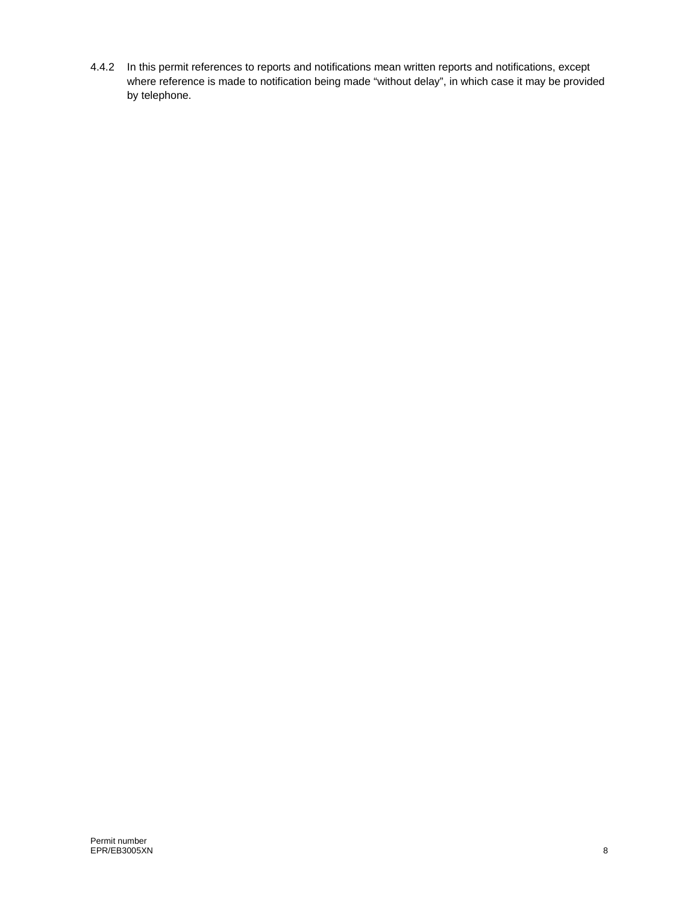4.4.2 In this permit references to reports and notifications mean written reports and notifications, except where reference is made to notification being made "without delay", in which case it may be provided by telephone.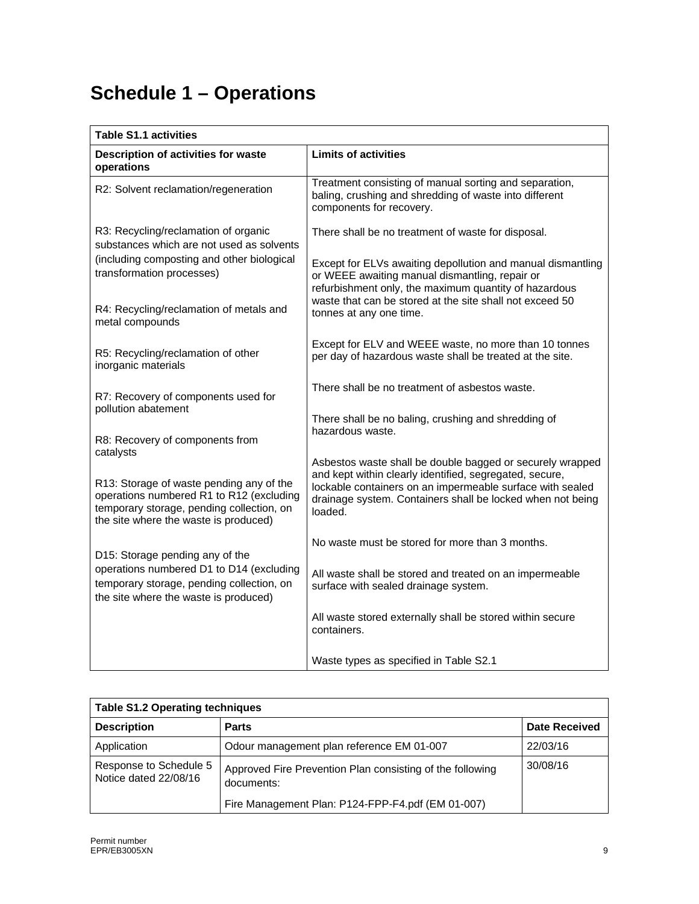# **Schedule 1 – Operations**

| <b>Table S1.1 activities</b>                                                                                                                                                            |                                                                                                                                                                                                                                                            |
|-----------------------------------------------------------------------------------------------------------------------------------------------------------------------------------------|------------------------------------------------------------------------------------------------------------------------------------------------------------------------------------------------------------------------------------------------------------|
| Description of activities for waste<br>operations                                                                                                                                       | <b>Limits of activities</b>                                                                                                                                                                                                                                |
| R2: Solvent reclamation/regeneration                                                                                                                                                    | Treatment consisting of manual sorting and separation,<br>baling, crushing and shredding of waste into different<br>components for recovery.                                                                                                               |
| R3: Recycling/reclamation of organic<br>substances which are not used as solvents                                                                                                       | There shall be no treatment of waste for disposal.                                                                                                                                                                                                         |
| (including composting and other biological<br>transformation processes)                                                                                                                 | Except for ELVs awaiting depollution and manual dismantling<br>or WEEE awaiting manual dismantling, repair or<br>refurbishment only, the maximum quantity of hazardous                                                                                     |
| R4: Recycling/reclamation of metals and<br>metal compounds                                                                                                                              | waste that can be stored at the site shall not exceed 50<br>tonnes at any one time.                                                                                                                                                                        |
| R5: Recycling/reclamation of other<br>inorganic materials                                                                                                                               | Except for ELV and WEEE waste, no more than 10 tonnes<br>per day of hazardous waste shall be treated at the site.                                                                                                                                          |
| R7: Recovery of components used for                                                                                                                                                     | There shall be no treatment of asbestos waste.                                                                                                                                                                                                             |
| pollution abatement<br>R8: Recovery of components from                                                                                                                                  | There shall be no baling, crushing and shredding of<br>hazardous waste.                                                                                                                                                                                    |
| catalysts<br>R13: Storage of waste pending any of the<br>operations numbered R1 to R12 (excluding<br>temporary storage, pending collection, on<br>the site where the waste is produced) | Asbestos waste shall be double bagged or securely wrapped<br>and kept within clearly identified, segregated, secure,<br>lockable containers on an impermeable surface with sealed<br>drainage system. Containers shall be locked when not being<br>loaded. |
| D15: Storage pending any of the                                                                                                                                                         | No waste must be stored for more than 3 months.                                                                                                                                                                                                            |
| operations numbered D1 to D14 (excluding<br>temporary storage, pending collection, on<br>the site where the waste is produced)                                                          | All waste shall be stored and treated on an impermeable<br>surface with sealed drainage system.                                                                                                                                                            |
|                                                                                                                                                                                         | All waste stored externally shall be stored within secure<br>containers.                                                                                                                                                                                   |
|                                                                                                                                                                                         | Waste types as specified in Table S2.1                                                                                                                                                                                                                     |

| <b>Table S1.2 Operating techniques</b>          |                                                                         |               |
|-------------------------------------------------|-------------------------------------------------------------------------|---------------|
| <b>Description</b>                              | <b>Parts</b>                                                            | Date Received |
| Application                                     | Odour management plan reference EM 01-007                               | 22/03/16      |
| Response to Schedule 5<br>Notice dated 22/08/16 | Approved Fire Prevention Plan consisting of the following<br>documents: | 30/08/16      |
|                                                 | Fire Management Plan: P124-FPP-F4.pdf (EM 01-007)                       |               |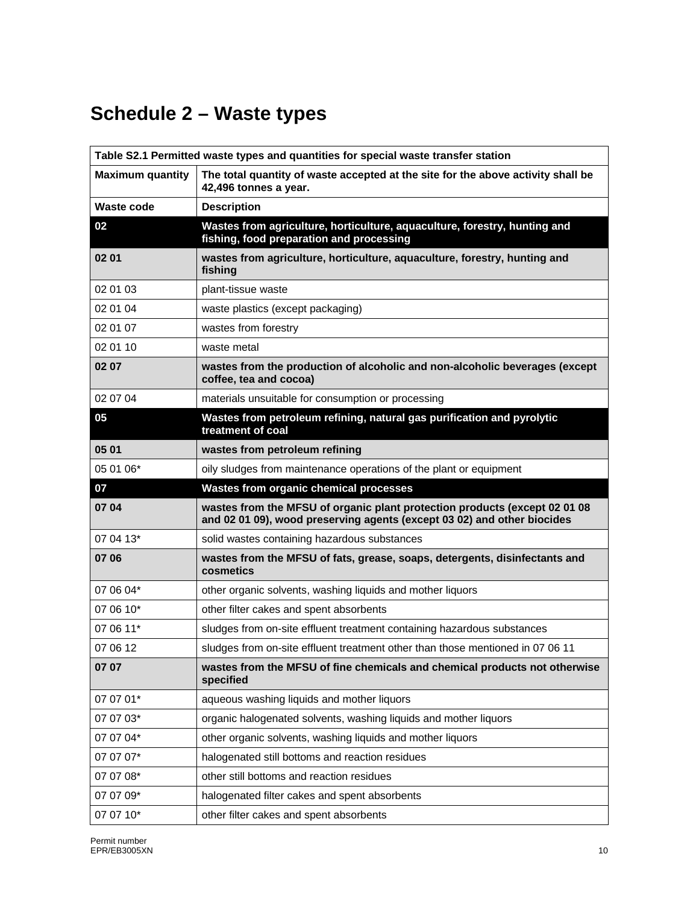# **Schedule 2 – Waste types**

| Table S2.1 Permitted waste types and quantities for special waste transfer station |                                                                                                                                                       |
|------------------------------------------------------------------------------------|-------------------------------------------------------------------------------------------------------------------------------------------------------|
| <b>Maximum quantity</b>                                                            | The total quantity of waste accepted at the site for the above activity shall be<br>42,496 tonnes a year.                                             |
| Waste code                                                                         | <b>Description</b>                                                                                                                                    |
| 02                                                                                 | Wastes from agriculture, horticulture, aquaculture, forestry, hunting and<br>fishing, food preparation and processing                                 |
| 02 01                                                                              | wastes from agriculture, horticulture, aquaculture, forestry, hunting and<br>fishing                                                                  |
| 02 01 03                                                                           | plant-tissue waste                                                                                                                                    |
| 02 01 04                                                                           | waste plastics (except packaging)                                                                                                                     |
| 02 01 07                                                                           | wastes from forestry                                                                                                                                  |
| 02 01 10                                                                           | waste metal                                                                                                                                           |
| 02 07                                                                              | wastes from the production of alcoholic and non-alcoholic beverages (except<br>coffee, tea and cocoa)                                                 |
| 02 07 04                                                                           | materials unsuitable for consumption or processing                                                                                                    |
| 05                                                                                 | Wastes from petroleum refining, natural gas purification and pyrolytic<br>treatment of coal                                                           |
| 05 01                                                                              | wastes from petroleum refining                                                                                                                        |
| 05 01 06*                                                                          | oily sludges from maintenance operations of the plant or equipment                                                                                    |
| 07                                                                                 | Wastes from organic chemical processes                                                                                                                |
| 07 04                                                                              | wastes from the MFSU of organic plant protection products (except 02 01 08<br>and 02 01 09), wood preserving agents (except 03 02) and other biocides |
| 07 04 13*                                                                          | solid wastes containing hazardous substances                                                                                                          |
| 07 06                                                                              | wastes from the MFSU of fats, grease, soaps, detergents, disinfectants and<br>cosmetics                                                               |
| 07 06 04*                                                                          | other organic solvents, washing liquids and mother liquors                                                                                            |
| 07 06 10*                                                                          | other filter cakes and spent absorbents                                                                                                               |
| 07 06 11*                                                                          | sludges from on-site effluent treatment containing hazardous substances                                                                               |
| 07 06 12                                                                           | sludges from on-site effluent treatment other than those mentioned in 07 06 11                                                                        |
| 07 07                                                                              | wastes from the MFSU of fine chemicals and chemical products not otherwise<br>specified                                                               |
| 07 07 01*                                                                          | aqueous washing liquids and mother liquors                                                                                                            |
| 07 07 03*                                                                          | organic halogenated solvents, washing liquids and mother liquors                                                                                      |
| 07 07 04*                                                                          | other organic solvents, washing liquids and mother liquors                                                                                            |
| 07 07 07*                                                                          | halogenated still bottoms and reaction residues                                                                                                       |
| 07 07 08*                                                                          | other still bottoms and reaction residues                                                                                                             |
| 07 07 09*                                                                          | halogenated filter cakes and spent absorbents                                                                                                         |
| 07 07 10*                                                                          | other filter cakes and spent absorbents                                                                                                               |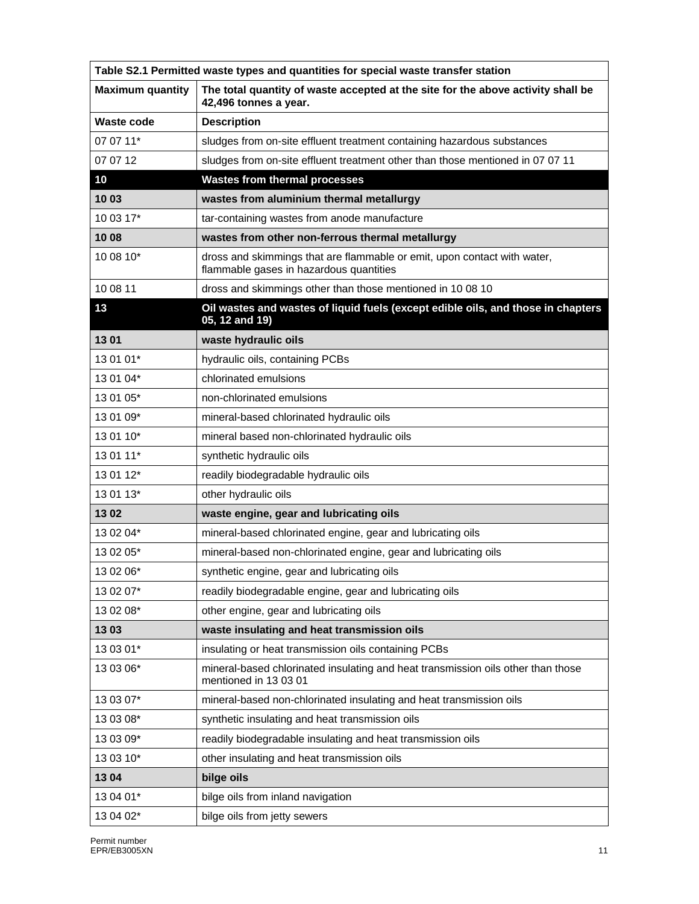| Table S2.1 Permitted waste types and quantities for special waste transfer station |                                                                                                                     |  |
|------------------------------------------------------------------------------------|---------------------------------------------------------------------------------------------------------------------|--|
| <b>Maximum quantity</b>                                                            | The total quantity of waste accepted at the site for the above activity shall be<br>42,496 tonnes a year.           |  |
| Waste code                                                                         | <b>Description</b>                                                                                                  |  |
| 07 07 11*                                                                          | sludges from on-site effluent treatment containing hazardous substances                                             |  |
| 07 07 12                                                                           | sludges from on-site effluent treatment other than those mentioned in 07 07 11                                      |  |
| 10                                                                                 | <b>Wastes from thermal processes</b>                                                                                |  |
| 1003                                                                               | wastes from aluminium thermal metallurgy                                                                            |  |
| 10 03 17*                                                                          | tar-containing wastes from anode manufacture                                                                        |  |
| 10 08                                                                              | wastes from other non-ferrous thermal metallurgy                                                                    |  |
| 10 08 10*                                                                          | dross and skimmings that are flammable or emit, upon contact with water,<br>flammable gases in hazardous quantities |  |
| 10 08 11                                                                           | dross and skimmings other than those mentioned in 10 08 10                                                          |  |
| 13                                                                                 | Oil wastes and wastes of liquid fuels (except edible oils, and those in chapters<br>05, 12 and 19)                  |  |
| 1301                                                                               | waste hydraulic oils                                                                                                |  |
| 13 01 01*                                                                          | hydraulic oils, containing PCBs                                                                                     |  |
| 13 01 04*                                                                          | chlorinated emulsions                                                                                               |  |
| 13 01 05*                                                                          | non-chlorinated emulsions                                                                                           |  |
| 13 01 09*                                                                          | mineral-based chlorinated hydraulic oils                                                                            |  |
| 13 01 10*                                                                          | mineral based non-chlorinated hydraulic oils                                                                        |  |
| 13 01 11*                                                                          | synthetic hydraulic oils                                                                                            |  |
| 13 01 12*                                                                          | readily biodegradable hydraulic oils                                                                                |  |
| 13 01 13*                                                                          | other hydraulic oils                                                                                                |  |
| 1302                                                                               | waste engine, gear and lubricating oils                                                                             |  |
| 13 02 04*                                                                          | mineral-based chlorinated engine, gear and lubricating oils                                                         |  |
| 13 02 05*                                                                          | mineral-based non-chlorinated engine, gear and lubricating oils                                                     |  |
| 13 02 06*                                                                          | synthetic engine, gear and lubricating oils                                                                         |  |
| 13 02 07*                                                                          | readily biodegradable engine, gear and lubricating oils                                                             |  |
| 13 02 08*                                                                          | other engine, gear and lubricating oils                                                                             |  |
| 1303                                                                               | waste insulating and heat transmission oils                                                                         |  |
| 13 03 01*                                                                          | insulating or heat transmission oils containing PCBs                                                                |  |
| 13 03 06*                                                                          | mineral-based chlorinated insulating and heat transmission oils other than those<br>mentioned in 13 03 01           |  |
| 13 03 07*                                                                          | mineral-based non-chlorinated insulating and heat transmission oils                                                 |  |
| 13 03 08*                                                                          | synthetic insulating and heat transmission oils                                                                     |  |
| 13 03 09*                                                                          | readily biodegradable insulating and heat transmission oils                                                         |  |
| 13 03 10*                                                                          | other insulating and heat transmission oils                                                                         |  |
| 1304                                                                               | bilge oils                                                                                                          |  |
| 13 04 01*                                                                          | bilge oils from inland navigation                                                                                   |  |
| 13 04 02*                                                                          | bilge oils from jetty sewers                                                                                        |  |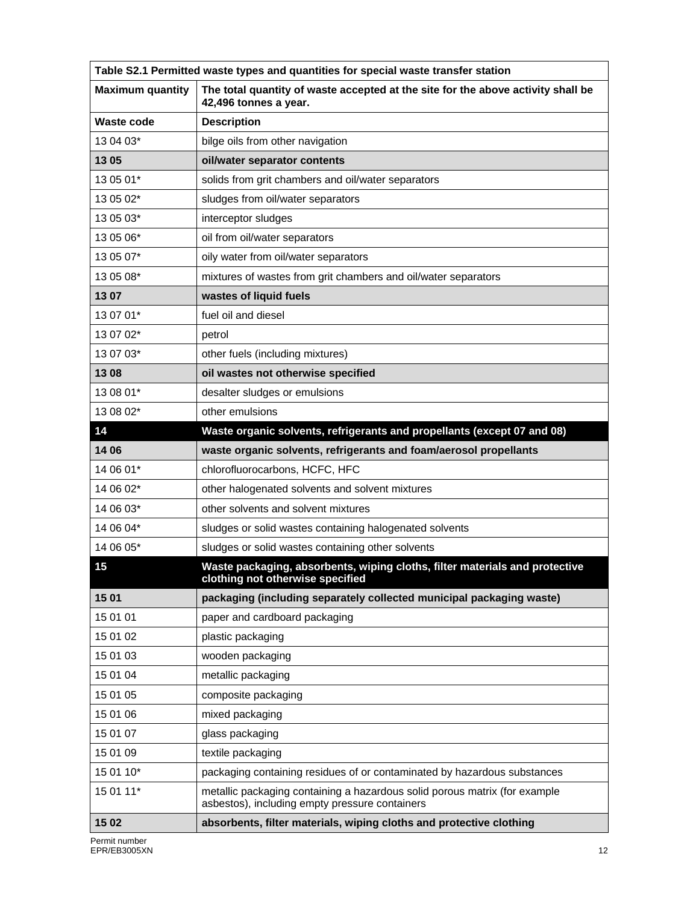| Table S2.1 Permitted waste types and quantities for special waste transfer station |                                                                                                                              |  |
|------------------------------------------------------------------------------------|------------------------------------------------------------------------------------------------------------------------------|--|
| <b>Maximum quantity</b>                                                            | The total quantity of waste accepted at the site for the above activity shall be<br>42,496 tonnes a year.                    |  |
| <b>Waste code</b>                                                                  | <b>Description</b>                                                                                                           |  |
| 13 04 03*                                                                          | bilge oils from other navigation                                                                                             |  |
| 13 05                                                                              | oil/water separator contents                                                                                                 |  |
| 13 05 01*                                                                          | solids from grit chambers and oil/water separators                                                                           |  |
| 13 05 02*                                                                          | sludges from oil/water separators                                                                                            |  |
| 13 05 03*                                                                          | interceptor sludges                                                                                                          |  |
| 13 05 06*                                                                          | oil from oil/water separators                                                                                                |  |
| 13 05 07*                                                                          | oily water from oil/water separators                                                                                         |  |
| 13 05 08*                                                                          | mixtures of wastes from grit chambers and oil/water separators                                                               |  |
| 1307                                                                               | wastes of liquid fuels                                                                                                       |  |
| 13 07 01*                                                                          | fuel oil and diesel                                                                                                          |  |
| 13 07 02*                                                                          | petrol                                                                                                                       |  |
| 13 07 03*                                                                          | other fuels (including mixtures)                                                                                             |  |
| 1308                                                                               | oil wastes not otherwise specified                                                                                           |  |
| 13 08 01*                                                                          | desalter sludges or emulsions                                                                                                |  |
| 13 08 02*                                                                          | other emulsions                                                                                                              |  |
| 14                                                                                 | Waste organic solvents, refrigerants and propellants (except 07 and 08)                                                      |  |
| 14 06                                                                              | waste organic solvents, refrigerants and foam/aerosol propellants                                                            |  |
| 14 06 01*                                                                          | chlorofluorocarbons, HCFC, HFC                                                                                               |  |
| 14 06 02*                                                                          | other halogenated solvents and solvent mixtures                                                                              |  |
| 14 06 03*                                                                          | other solvents and solvent mixtures                                                                                          |  |
| 14 06 04*                                                                          | sludges or solid wastes containing halogenated solvents                                                                      |  |
| 14 06 05*                                                                          | sludges or solid wastes containing other solvents                                                                            |  |
| 15                                                                                 | Waste packaging, absorbents, wiping cloths, filter materials and protective<br>clothing not otherwise specified              |  |
| 15 01                                                                              | packaging (including separately collected municipal packaging waste)                                                         |  |
| 15 01 01                                                                           | paper and cardboard packaging                                                                                                |  |
| 15 01 02                                                                           | plastic packaging                                                                                                            |  |
| 15 01 03                                                                           | wooden packaging                                                                                                             |  |
| 15 01 04                                                                           | metallic packaging                                                                                                           |  |
| 15 01 05                                                                           | composite packaging                                                                                                          |  |
| 15 01 06                                                                           | mixed packaging                                                                                                              |  |
| 15 01 07                                                                           | glass packaging                                                                                                              |  |
| 15 01 09                                                                           | textile packaging                                                                                                            |  |
| 15 01 10*                                                                          | packaging containing residues of or contaminated by hazardous substances                                                     |  |
| 15 01 11*                                                                          | metallic packaging containing a hazardous solid porous matrix (for example<br>asbestos), including empty pressure containers |  |
| 15 02                                                                              | absorbents, filter materials, wiping cloths and protective clothing                                                          |  |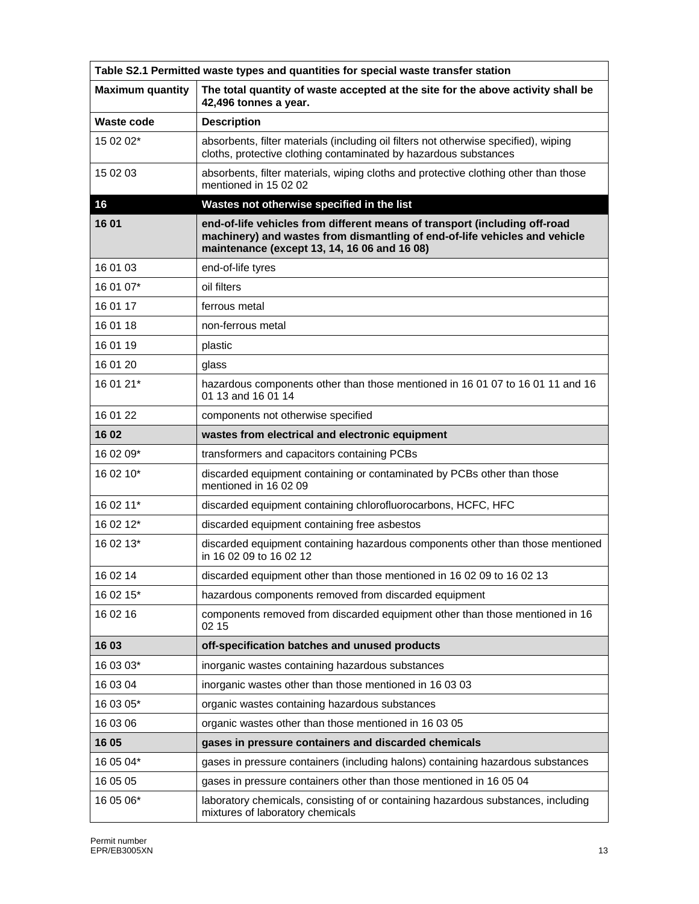| Table S2.1 Permitted waste types and quantities for special waste transfer station |                                                                                                                                                                                                          |  |
|------------------------------------------------------------------------------------|----------------------------------------------------------------------------------------------------------------------------------------------------------------------------------------------------------|--|
| <b>Maximum quantity</b>                                                            | The total quantity of waste accepted at the site for the above activity shall be<br>42,496 tonnes a year.                                                                                                |  |
| Waste code                                                                         | <b>Description</b>                                                                                                                                                                                       |  |
| 15 02 02*                                                                          | absorbents, filter materials (including oil filters not otherwise specified), wiping<br>cloths, protective clothing contaminated by hazardous substances                                                 |  |
| 15 02 03                                                                           | absorbents, filter materials, wiping cloths and protective clothing other than those<br>mentioned in 15 02 02                                                                                            |  |
| 16                                                                                 | Wastes not otherwise specified in the list                                                                                                                                                               |  |
| 16 01                                                                              | end-of-life vehicles from different means of transport (including off-road<br>machinery) and wastes from dismantling of end-of-life vehicles and vehicle<br>maintenance (except 13, 14, 16 06 and 16 08) |  |
| 16 01 03                                                                           | end-of-life tyres                                                                                                                                                                                        |  |
| 16 01 07*                                                                          | oil filters                                                                                                                                                                                              |  |
| 16 01 17                                                                           | ferrous metal                                                                                                                                                                                            |  |
| 16 01 18                                                                           | non-ferrous metal                                                                                                                                                                                        |  |
| 16 01 19                                                                           | plastic                                                                                                                                                                                                  |  |
| 16 01 20                                                                           | glass                                                                                                                                                                                                    |  |
| 16 01 21*                                                                          | hazardous components other than those mentioned in 16 01 07 to 16 01 11 and 16<br>01 13 and 16 01 14                                                                                                     |  |
| 16 01 22                                                                           | components not otherwise specified                                                                                                                                                                       |  |
| 16 02                                                                              | wastes from electrical and electronic equipment                                                                                                                                                          |  |
| 16 02 09*                                                                          | transformers and capacitors containing PCBs                                                                                                                                                              |  |
| 16 02 10*                                                                          | discarded equipment containing or contaminated by PCBs other than those<br>mentioned in 16 02 09                                                                                                         |  |
| 16 02 11*                                                                          | discarded equipment containing chlorofluorocarbons, HCFC, HFC                                                                                                                                            |  |
| 16 02 12*                                                                          | discarded equipment containing free asbestos                                                                                                                                                             |  |
| 16 02 13*                                                                          | discarded equipment containing hazardous components other than those mentioned<br>in 16 02 09 to 16 02 12                                                                                                |  |
| 16 02 14                                                                           | discarded equipment other than those mentioned in 16 02 09 to 16 02 13                                                                                                                                   |  |
| 16 02 15*                                                                          | hazardous components removed from discarded equipment                                                                                                                                                    |  |
| 16 02 16                                                                           | components removed from discarded equipment other than those mentioned in 16<br>02 15                                                                                                                    |  |
| 16 03                                                                              | off-specification batches and unused products                                                                                                                                                            |  |
| 16 03 03*                                                                          | inorganic wastes containing hazardous substances                                                                                                                                                         |  |
| 16 03 04                                                                           | inorganic wastes other than those mentioned in 16 03 03                                                                                                                                                  |  |
| 16 03 05*                                                                          | organic wastes containing hazardous substances                                                                                                                                                           |  |
| 16 03 06                                                                           | organic wastes other than those mentioned in 16 03 05                                                                                                                                                    |  |
| 16 05                                                                              | gases in pressure containers and discarded chemicals                                                                                                                                                     |  |
| 16 05 04*                                                                          | gases in pressure containers (including halons) containing hazardous substances                                                                                                                          |  |
| 16 05 05                                                                           | gases in pressure containers other than those mentioned in 16 05 04                                                                                                                                      |  |
| 16 05 06*                                                                          | laboratory chemicals, consisting of or containing hazardous substances, including<br>mixtures of laboratory chemicals                                                                                    |  |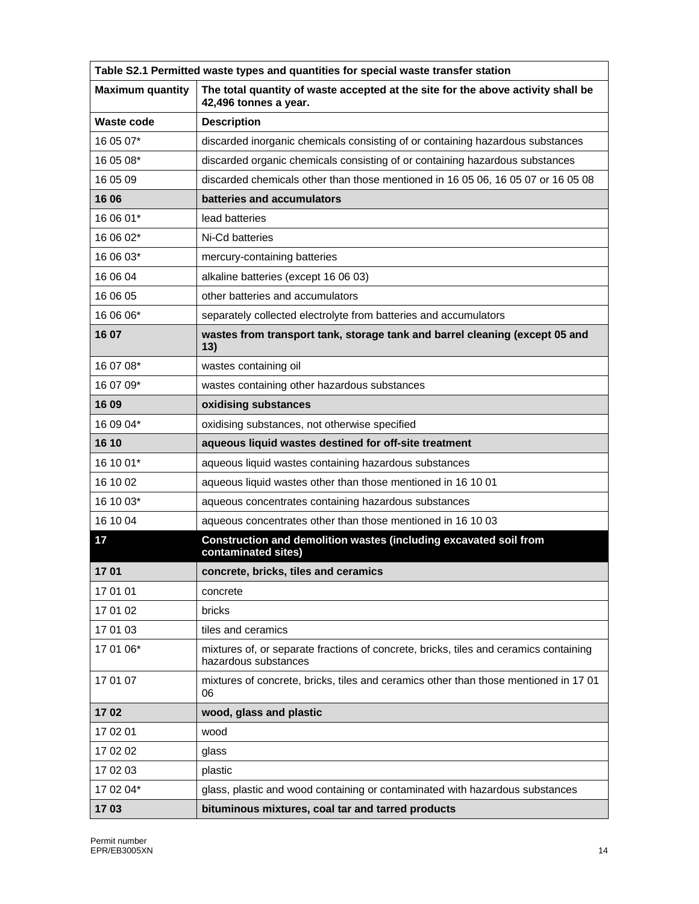| Table S2.1 Permitted waste types and quantities for special waste transfer station |                                                                                                               |  |
|------------------------------------------------------------------------------------|---------------------------------------------------------------------------------------------------------------|--|
| <b>Maximum quantity</b>                                                            | The total quantity of waste accepted at the site for the above activity shall be<br>42,496 tonnes a year.     |  |
| <b>Waste code</b>                                                                  | <b>Description</b>                                                                                            |  |
| 16 05 07*                                                                          | discarded inorganic chemicals consisting of or containing hazardous substances                                |  |
| 16 05 08*                                                                          | discarded organic chemicals consisting of or containing hazardous substances                                  |  |
| 16 05 09                                                                           | discarded chemicals other than those mentioned in 16 05 06, 16 05 07 or 16 05 08                              |  |
| 16 06                                                                              | batteries and accumulators                                                                                    |  |
| 16 06 01*                                                                          | lead batteries                                                                                                |  |
| 16 06 02*                                                                          | Ni-Cd batteries                                                                                               |  |
| 16 06 03*                                                                          | mercury-containing batteries                                                                                  |  |
| 16 06 04                                                                           | alkaline batteries (except 16 06 03)                                                                          |  |
| 16 06 05                                                                           | other batteries and accumulators                                                                              |  |
| 16 06 06*                                                                          | separately collected electrolyte from batteries and accumulators                                              |  |
| 16 07                                                                              | wastes from transport tank, storage tank and barrel cleaning (except 05 and<br>13)                            |  |
| 16 07 08*                                                                          | wastes containing oil                                                                                         |  |
| 16 07 09*                                                                          | wastes containing other hazardous substances                                                                  |  |
| 16 09                                                                              | oxidising substances                                                                                          |  |
| 16 09 04*                                                                          | oxidising substances, not otherwise specified                                                                 |  |
| 16 10                                                                              | aqueous liquid wastes destined for off-site treatment                                                         |  |
| 16 10 01*                                                                          | aqueous liquid wastes containing hazardous substances                                                         |  |
| 16 10 02                                                                           | aqueous liquid wastes other than those mentioned in 16 10 01                                                  |  |
| 16 10 03*                                                                          | aqueous concentrates containing hazardous substances                                                          |  |
| 16 10 04                                                                           | aqueous concentrates other than those mentioned in 16 10 03                                                   |  |
| 17                                                                                 | Construction and demolition wastes (including excavated soil from<br>contaminated sites)                      |  |
| 1701                                                                               | concrete, bricks, tiles and ceramics                                                                          |  |
| 17 01 01                                                                           | concrete                                                                                                      |  |
| 17 01 02                                                                           | bricks                                                                                                        |  |
| 17 01 03                                                                           | tiles and ceramics                                                                                            |  |
| 17 01 06*                                                                          | mixtures of, or separate fractions of concrete, bricks, tiles and ceramics containing<br>hazardous substances |  |
| 17 01 07                                                                           | mixtures of concrete, bricks, tiles and ceramics other than those mentioned in 17 01<br>06                    |  |
| 1702                                                                               | wood, glass and plastic                                                                                       |  |
| 17 02 01                                                                           | wood                                                                                                          |  |
| 17 02 02                                                                           | glass                                                                                                         |  |
| 17 02 03                                                                           | plastic                                                                                                       |  |
| 17 02 04*                                                                          | glass, plastic and wood containing or contaminated with hazardous substances                                  |  |
| 1703                                                                               | bituminous mixtures, coal tar and tarred products                                                             |  |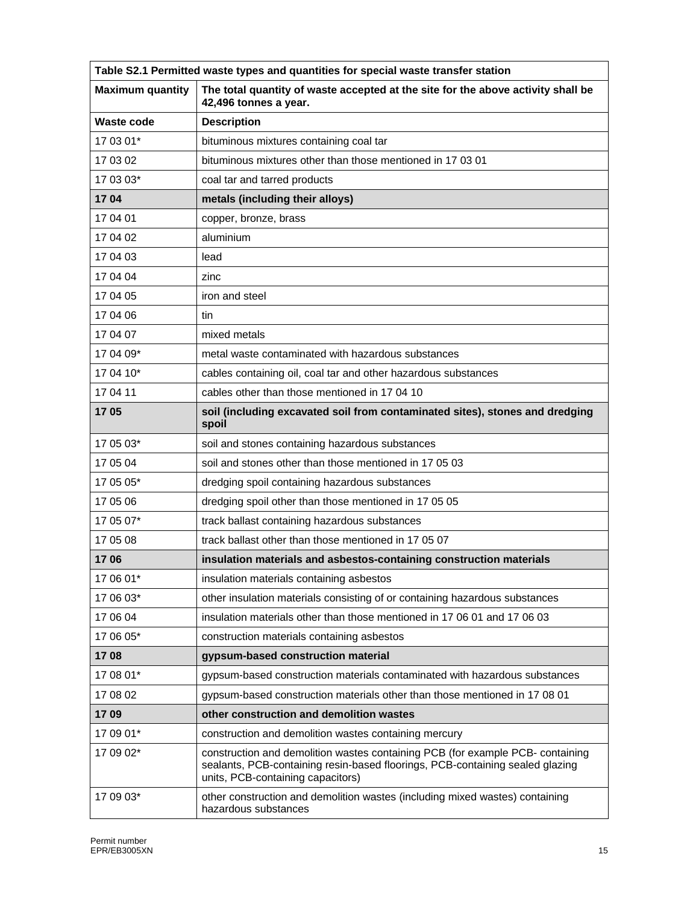| Table S2.1 Permitted waste types and quantities for special waste transfer station |                                                                                                                                                                                                      |  |
|------------------------------------------------------------------------------------|------------------------------------------------------------------------------------------------------------------------------------------------------------------------------------------------------|--|
| <b>Maximum quantity</b>                                                            | The total quantity of waste accepted at the site for the above activity shall be<br>42,496 tonnes a year.                                                                                            |  |
| Waste code                                                                         | <b>Description</b>                                                                                                                                                                                   |  |
| 17 03 01*                                                                          | bituminous mixtures containing coal tar                                                                                                                                                              |  |
| 17 03 02                                                                           | bituminous mixtures other than those mentioned in 17 03 01                                                                                                                                           |  |
| 17 03 03*                                                                          | coal tar and tarred products                                                                                                                                                                         |  |
| 1704                                                                               | metals (including their alloys)                                                                                                                                                                      |  |
| 17 04 01                                                                           | copper, bronze, brass                                                                                                                                                                                |  |
| 17 04 02                                                                           | aluminium                                                                                                                                                                                            |  |
| 17 04 03                                                                           | lead                                                                                                                                                                                                 |  |
| 17 04 04                                                                           | zinc                                                                                                                                                                                                 |  |
| 17 04 05                                                                           | iron and steel                                                                                                                                                                                       |  |
| 17 04 06                                                                           | tin                                                                                                                                                                                                  |  |
| 17 04 07                                                                           | mixed metals                                                                                                                                                                                         |  |
| 17 04 09*                                                                          | metal waste contaminated with hazardous substances                                                                                                                                                   |  |
| 17 04 10*                                                                          | cables containing oil, coal tar and other hazardous substances                                                                                                                                       |  |
| 17 04 11                                                                           | cables other than those mentioned in 17 04 10                                                                                                                                                        |  |
| 1705                                                                               | soil (including excavated soil from contaminated sites), stones and dredging<br>spoil                                                                                                                |  |
| 17 05 03*                                                                          | soil and stones containing hazardous substances                                                                                                                                                      |  |
| 17 05 04                                                                           | soil and stones other than those mentioned in 17 05 03                                                                                                                                               |  |
| 17 05 05*                                                                          | dredging spoil containing hazardous substances                                                                                                                                                       |  |
| 17 05 06                                                                           | dredging spoil other than those mentioned in 17 05 05                                                                                                                                                |  |
| 17 05 07*                                                                          | track ballast containing hazardous substances                                                                                                                                                        |  |
| 17 05 08                                                                           | track ballast other than those mentioned in 17 05 07                                                                                                                                                 |  |
| 1706                                                                               | insulation materials and asbestos-containing construction materials                                                                                                                                  |  |
| 17 06 01*                                                                          | insulation materials containing asbestos                                                                                                                                                             |  |
| 17 06 03*                                                                          | other insulation materials consisting of or containing hazardous substances                                                                                                                          |  |
| 17 06 04                                                                           | insulation materials other than those mentioned in 17 06 01 and 17 06 03                                                                                                                             |  |
| 17 06 05*                                                                          | construction materials containing asbestos                                                                                                                                                           |  |
| 1708                                                                               | gypsum-based construction material                                                                                                                                                                   |  |
| 17 08 01*                                                                          | gypsum-based construction materials contaminated with hazardous substances                                                                                                                           |  |
| 17 08 02                                                                           | gypsum-based construction materials other than those mentioned in 17 08 01                                                                                                                           |  |
| 1709                                                                               | other construction and demolition wastes                                                                                                                                                             |  |
| 17 09 01*                                                                          | construction and demolition wastes containing mercury                                                                                                                                                |  |
| 17 09 02*                                                                          | construction and demolition wastes containing PCB (for example PCB- containing<br>sealants, PCB-containing resin-based floorings, PCB-containing sealed glazing<br>units, PCB-containing capacitors) |  |
| 17 09 03*                                                                          | other construction and demolition wastes (including mixed wastes) containing<br>hazardous substances                                                                                                 |  |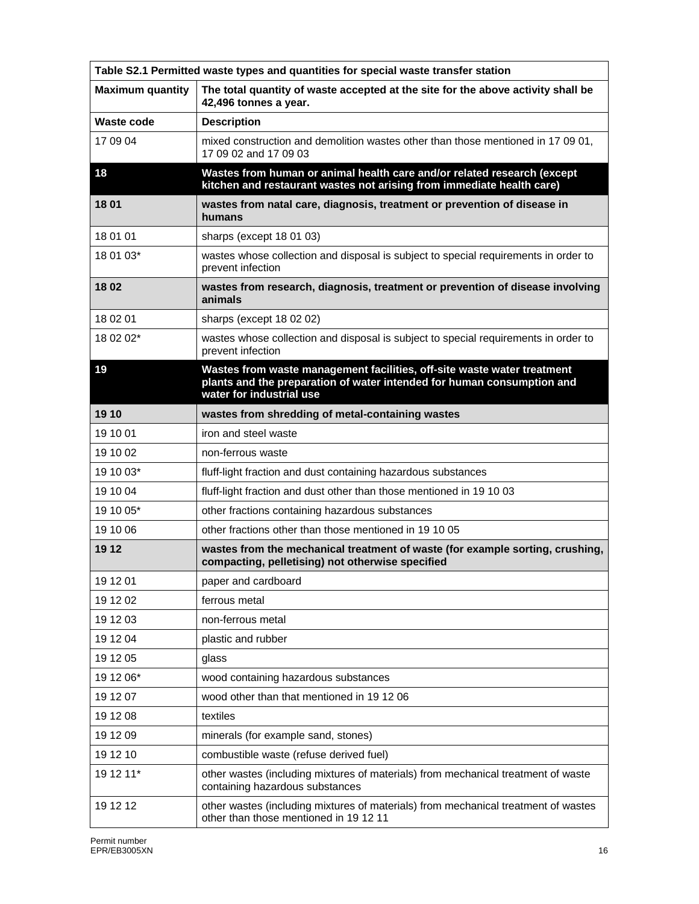| Table S2.1 Permitted waste types and quantities for special waste transfer station |                                                                                                                                                                               |  |
|------------------------------------------------------------------------------------|-------------------------------------------------------------------------------------------------------------------------------------------------------------------------------|--|
| <b>Maximum quantity</b>                                                            | The total quantity of waste accepted at the site for the above activity shall be<br>42,496 tonnes a year.                                                                     |  |
| <b>Waste code</b>                                                                  | <b>Description</b>                                                                                                                                                            |  |
| 17 09 04                                                                           | mixed construction and demolition wastes other than those mentioned in 17 09 01,<br>17 09 02 and 17 09 03                                                                     |  |
| 18                                                                                 | Wastes from human or animal health care and/or related research (except<br>kitchen and restaurant wastes not arising from immediate health care)                              |  |
| 18 01                                                                              | wastes from natal care, diagnosis, treatment or prevention of disease in<br>humans                                                                                            |  |
| 18 01 01                                                                           | sharps (except 18 01 03)                                                                                                                                                      |  |
| 18 01 03*                                                                          | wastes whose collection and disposal is subject to special requirements in order to<br>prevent infection                                                                      |  |
| 1802                                                                               | wastes from research, diagnosis, treatment or prevention of disease involving<br>animals                                                                                      |  |
| 18 02 01                                                                           | sharps (except 18 02 02)                                                                                                                                                      |  |
| 18 02 02*                                                                          | wastes whose collection and disposal is subject to special requirements in order to<br>prevent infection                                                                      |  |
| 19                                                                                 | Wastes from waste management facilities, off-site waste water treatment<br>plants and the preparation of water intended for human consumption and<br>water for industrial use |  |
| 19 10                                                                              | wastes from shredding of metal-containing wastes                                                                                                                              |  |
| 19 10 01                                                                           | iron and steel waste                                                                                                                                                          |  |
| 19 10 02                                                                           | non-ferrous waste                                                                                                                                                             |  |
| 19 10 03*                                                                          | fluff-light fraction and dust containing hazardous substances                                                                                                                 |  |
| 19 10 04                                                                           | fluff-light fraction and dust other than those mentioned in 19 10 03                                                                                                          |  |
| 19 10 05*                                                                          | other fractions containing hazardous substances                                                                                                                               |  |
| 19 10 06                                                                           | other fractions other than those mentioned in 19 10 05                                                                                                                        |  |
| 19 12                                                                              | wastes from the mechanical treatment of waste (for example sorting, crushing,<br>compacting, pelletising) not otherwise specified                                             |  |
| 19 12 01                                                                           | paper and cardboard                                                                                                                                                           |  |
| 19 12 02                                                                           | ferrous metal                                                                                                                                                                 |  |
| 19 12 03                                                                           | non-ferrous metal                                                                                                                                                             |  |
| 19 12 04                                                                           | plastic and rubber                                                                                                                                                            |  |
| 19 12 05                                                                           | glass                                                                                                                                                                         |  |
| 19 12 06*                                                                          | wood containing hazardous substances                                                                                                                                          |  |
| 19 12 07                                                                           | wood other than that mentioned in 19 12 06                                                                                                                                    |  |
| 19 12 08                                                                           | textiles                                                                                                                                                                      |  |
| 19 12 09                                                                           | minerals (for example sand, stones)                                                                                                                                           |  |
| 19 12 10                                                                           | combustible waste (refuse derived fuel)                                                                                                                                       |  |
| 19 12 11*                                                                          | other wastes (including mixtures of materials) from mechanical treatment of waste<br>containing hazardous substances                                                          |  |
| 19 12 12                                                                           | other wastes (including mixtures of materials) from mechanical treatment of wastes<br>other than those mentioned in 19 12 11                                                  |  |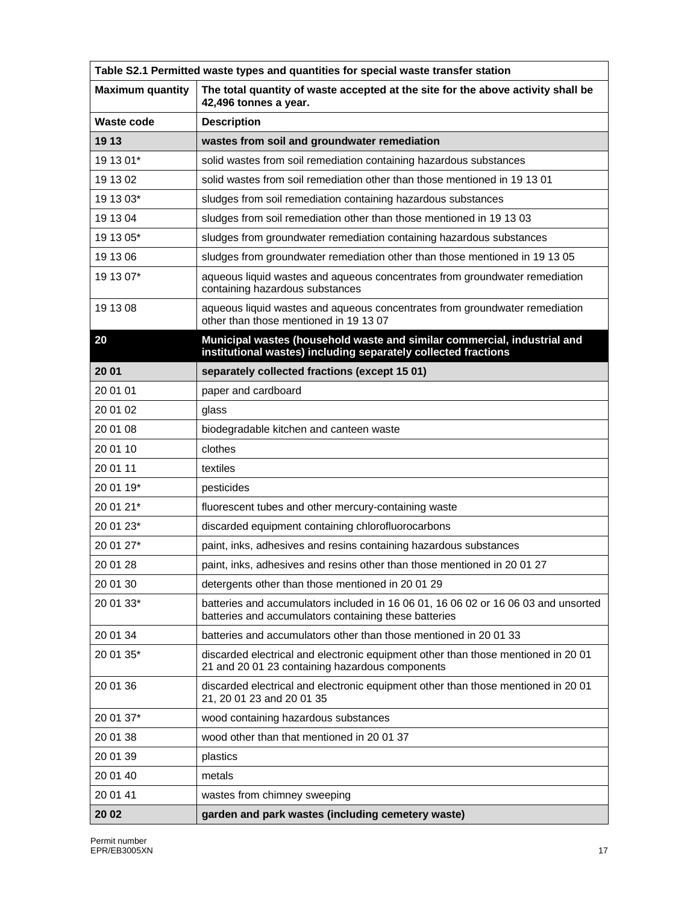| Table S2.1 Permitted waste types and quantities for special waste transfer station |                                                                                                                                             |  |
|------------------------------------------------------------------------------------|---------------------------------------------------------------------------------------------------------------------------------------------|--|
| <b>Maximum quantity</b>                                                            | The total quantity of waste accepted at the site for the above activity shall be<br>42,496 tonnes a year.                                   |  |
| Waste code                                                                         | <b>Description</b>                                                                                                                          |  |
| 19 13                                                                              | wastes from soil and groundwater remediation                                                                                                |  |
| 19 13 01*                                                                          | solid wastes from soil remediation containing hazardous substances                                                                          |  |
| 19 13 02                                                                           | solid wastes from soil remediation other than those mentioned in 19 13 01                                                                   |  |
| 19 13 03*                                                                          | sludges from soil remediation containing hazardous substances                                                                               |  |
| 19 13 04                                                                           | sludges from soil remediation other than those mentioned in 19 13 03                                                                        |  |
| 19 13 05*                                                                          | sludges from groundwater remediation containing hazardous substances                                                                        |  |
| 19 13 06                                                                           | sludges from groundwater remediation other than those mentioned in 19 13 05                                                                 |  |
| 19 13 07*                                                                          | aqueous liquid wastes and aqueous concentrates from groundwater remediation<br>containing hazardous substances                              |  |
| 19 13 08                                                                           | aqueous liquid wastes and aqueous concentrates from groundwater remediation<br>other than those mentioned in 19 13 07                       |  |
| 20                                                                                 | Municipal wastes (household waste and similar commercial, industrial and<br>institutional wastes) including separately collected fractions  |  |
| 20 01                                                                              | separately collected fractions (except 15 01)                                                                                               |  |
| 20 01 01                                                                           | paper and cardboard                                                                                                                         |  |
| 20 01 02                                                                           | glass                                                                                                                                       |  |
| 20 01 08                                                                           | biodegradable kitchen and canteen waste                                                                                                     |  |
| 20 01 10                                                                           | clothes                                                                                                                                     |  |
| 20 01 11                                                                           | textiles                                                                                                                                    |  |
| 20 01 19*                                                                          | pesticides                                                                                                                                  |  |
| 20 01 21*                                                                          | fluorescent tubes and other mercury-containing waste                                                                                        |  |
| 20 01 23*                                                                          | discarded equipment containing chlorofluorocarbons                                                                                          |  |
| 20 01 27*                                                                          | paint, inks, adhesives and resins containing hazardous substances                                                                           |  |
| 20 01 28                                                                           | paint, inks, adhesives and resins other than those mentioned in 20 01 27                                                                    |  |
| 20 01 30                                                                           | detergents other than those mentioned in 20 01 29                                                                                           |  |
| 20 01 33*                                                                          | batteries and accumulators included in 16 06 01, 16 06 02 or 16 06 03 and unsorted<br>batteries and accumulators containing these batteries |  |
| 20 01 34                                                                           | batteries and accumulators other than those mentioned in 20 01 33                                                                           |  |
| 20 01 35*                                                                          | discarded electrical and electronic equipment other than those mentioned in 20 01<br>21 and 20 01 23 containing hazardous components        |  |
| 20 01 36                                                                           | discarded electrical and electronic equipment other than those mentioned in 20 01<br>21, 20 01 23 and 20 01 35                              |  |
| 20 01 37*                                                                          | wood containing hazardous substances                                                                                                        |  |
| 20 01 38                                                                           | wood other than that mentioned in 20 01 37                                                                                                  |  |
| 20 01 39                                                                           | plastics                                                                                                                                    |  |
| 20 01 40                                                                           | metals                                                                                                                                      |  |
| 20 01 41                                                                           | wastes from chimney sweeping                                                                                                                |  |
| 20 02                                                                              | garden and park wastes (including cemetery waste)                                                                                           |  |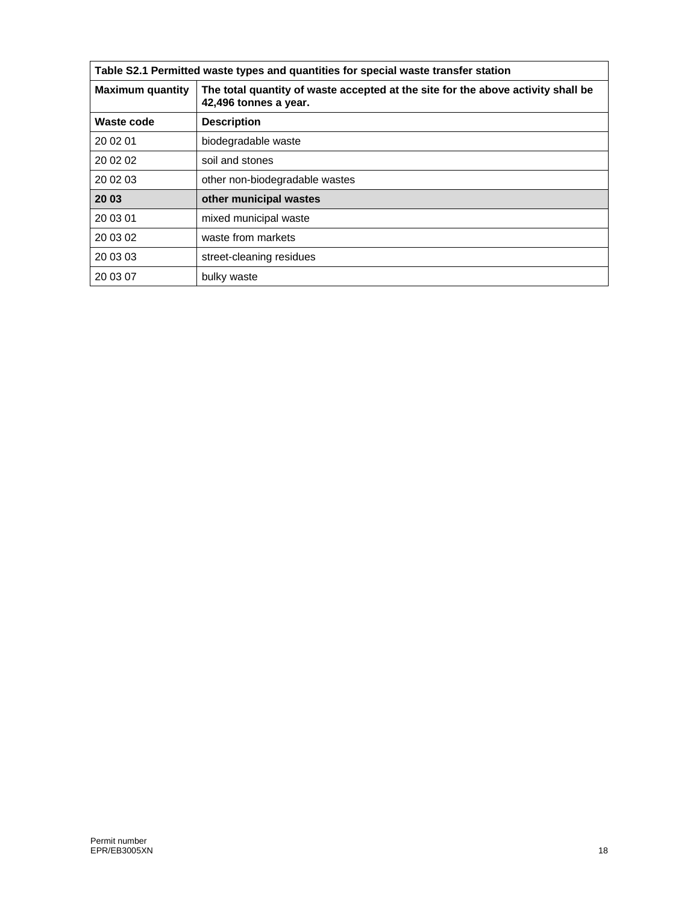| Table S2.1 Permitted waste types and quantities for special waste transfer station |                                                                                                           |
|------------------------------------------------------------------------------------|-----------------------------------------------------------------------------------------------------------|
| <b>Maximum quantity</b>                                                            | The total quantity of waste accepted at the site for the above activity shall be<br>42,496 tonnes a year. |
| Waste code                                                                         | <b>Description</b>                                                                                        |
| 20 02 01                                                                           | biodegradable waste                                                                                       |
| 20 02 02                                                                           | soil and stones                                                                                           |
| 20 02 03                                                                           | other non-biodegradable wastes                                                                            |
| 20 03                                                                              | other municipal wastes                                                                                    |
| 20 03 01                                                                           | mixed municipal waste                                                                                     |
| 20 03 02                                                                           | waste from markets                                                                                        |
| 20 03 03                                                                           | street-cleaning residues                                                                                  |
| 20 03 07                                                                           | bulky waste                                                                                               |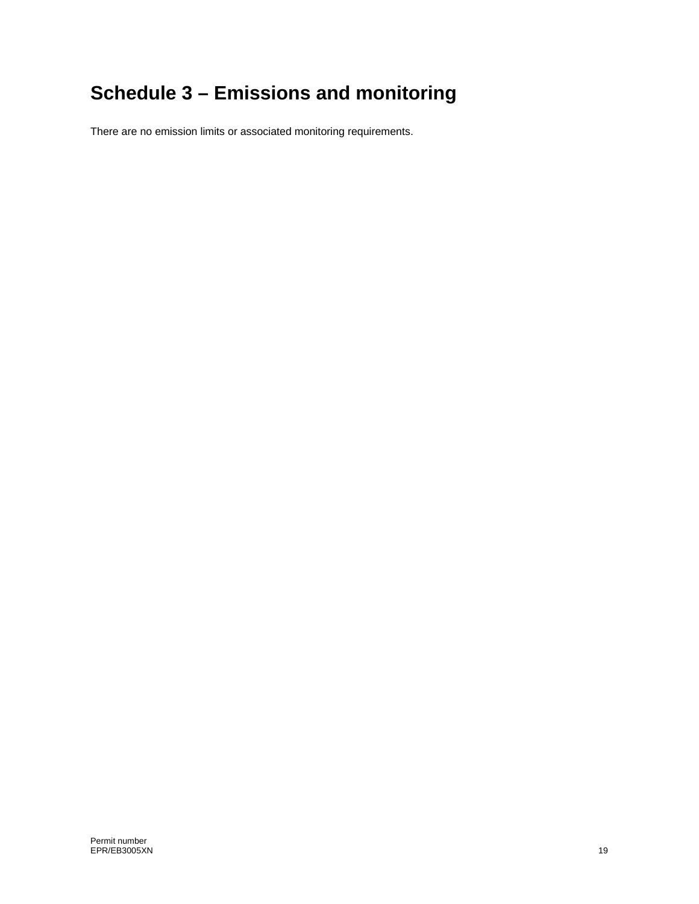# **Schedule 3 – Emissions and monitoring**

There are no emission limits or associated monitoring requirements.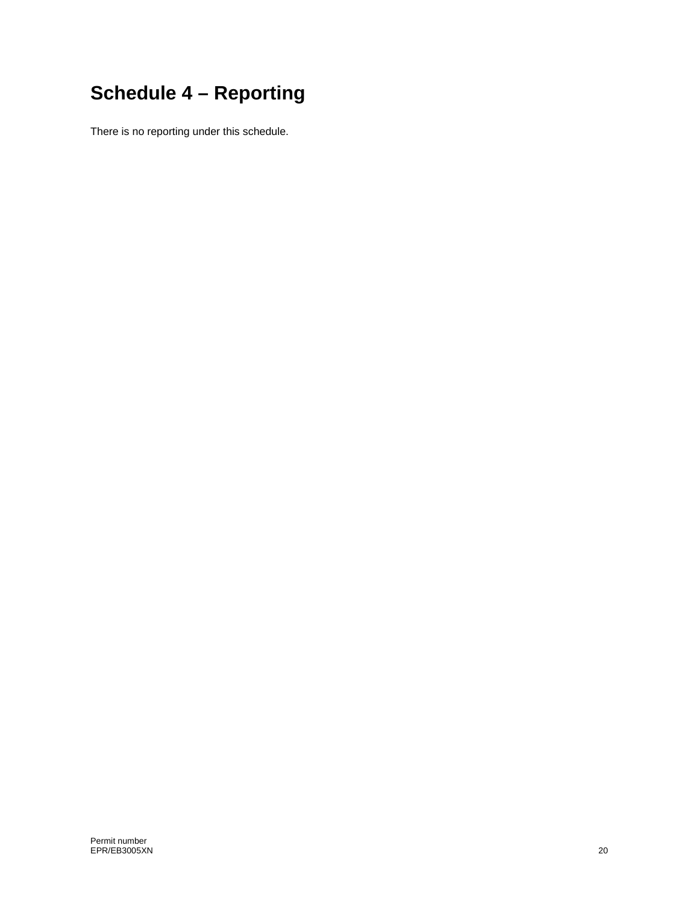# **Schedule 4 – Reporting**

There is no reporting under this schedule.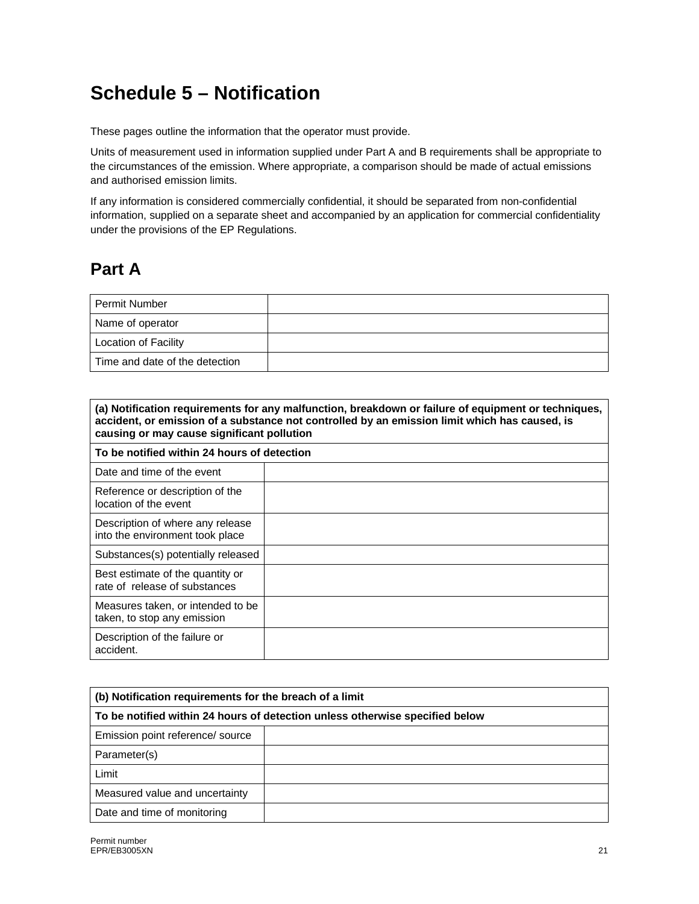## **Schedule 5 – Notification**

These pages outline the information that the operator must provide.

Units of measurement used in information supplied under Part A and B requirements shall be appropriate to the circumstances of the emission. Where appropriate, a comparison should be made of actual emissions and authorised emission limits.

If any information is considered commercially confidential, it should be separated from non-confidential information, supplied on a separate sheet and accompanied by an application for commercial confidentiality under the provisions of the EP Regulations.

## **Part A**

| <b>Permit Number</b>           |  |
|--------------------------------|--|
| Name of operator               |  |
| <b>Location of Facility</b>    |  |
| Time and date of the detection |  |

| (a) Notification requirements for any malfunction, breakdown or failure of equipment or techniques,<br>accident, or emission of a substance not controlled by an emission limit which has caused, is<br>causing or may cause significant pollution |  |  |
|----------------------------------------------------------------------------------------------------------------------------------------------------------------------------------------------------------------------------------------------------|--|--|
| To be notified within 24 hours of detection                                                                                                                                                                                                        |  |  |
| Date and time of the event                                                                                                                                                                                                                         |  |  |
| Reference or description of the<br>location of the event                                                                                                                                                                                           |  |  |
| Description of where any release<br>into the environment took place                                                                                                                                                                                |  |  |
| Substances(s) potentially released                                                                                                                                                                                                                 |  |  |
| Best estimate of the quantity or<br>rate of release of substances                                                                                                                                                                                  |  |  |
| Measures taken, or intended to be<br>taken, to stop any emission                                                                                                                                                                                   |  |  |
| Description of the failure or<br>accident.                                                                                                                                                                                                         |  |  |

| (b) Notification requirements for the breach of a limit                      |  |  |
|------------------------------------------------------------------------------|--|--|
| To be notified within 24 hours of detection unless otherwise specified below |  |  |
| Emission point reference/ source                                             |  |  |
| Parameter(s)                                                                 |  |  |
| Limit                                                                        |  |  |
| Measured value and uncertainty                                               |  |  |
| Date and time of monitoring                                                  |  |  |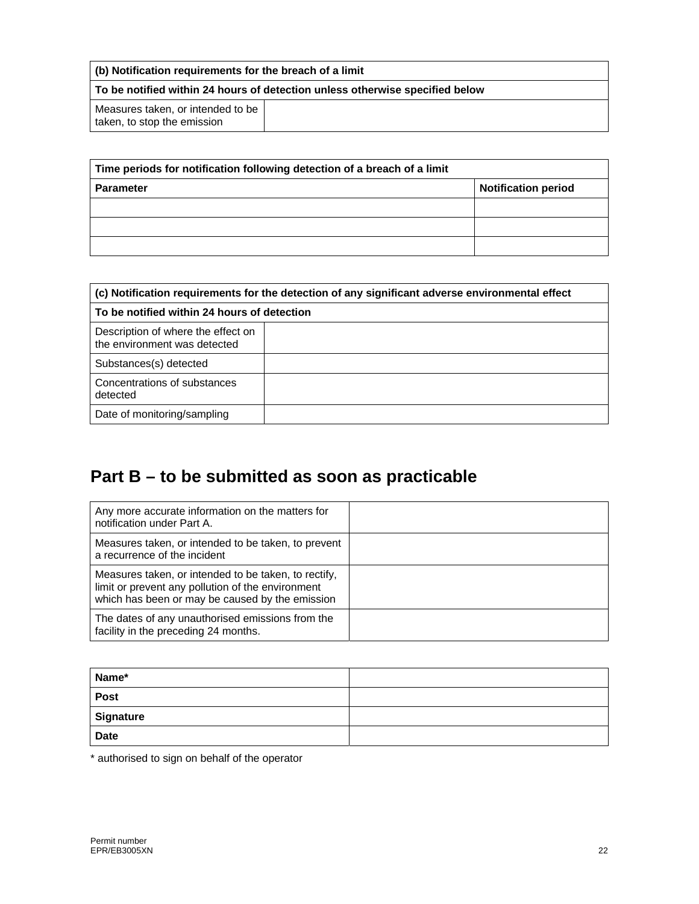| (b) Notification requirements for the breach of a limit                             |  |  |
|-------------------------------------------------------------------------------------|--|--|
| $\mid$ To be notified within 24 hours of detection unless otherwise specified below |  |  |
| Measures taken, or intended to be<br>taken, to stop the emission                    |  |  |

| Time periods for notification following detection of a breach of a limit |                            |  |
|--------------------------------------------------------------------------|----------------------------|--|
| <b>Parameter</b>                                                         | <b>Notification period</b> |  |
|                                                                          |                            |  |
|                                                                          |                            |  |
|                                                                          |                            |  |

| (c) Notification requirements for the detection of any significant adverse environmental effect<br>To be notified within 24 hours of detection |  |  |
|------------------------------------------------------------------------------------------------------------------------------------------------|--|--|
|                                                                                                                                                |  |  |
| Substances(s) detected                                                                                                                         |  |  |
| Concentrations of substances<br>detected                                                                                                       |  |  |
| Date of monitoring/sampling                                                                                                                    |  |  |

## **Part B – to be submitted as soon as practicable**

| Any more accurate information on the matters for<br>notification under Part A.                                                                               |  |
|--------------------------------------------------------------------------------------------------------------------------------------------------------------|--|
| Measures taken, or intended to be taken, to prevent<br>a recurrence of the incident                                                                          |  |
| Measures taken, or intended to be taken, to rectify,<br>limit or prevent any pollution of the environment<br>which has been or may be caused by the emission |  |
| The dates of any unauthorised emissions from the<br>facility in the preceding 24 months.                                                                     |  |

| Name*       |  |
|-------------|--|
| Post        |  |
| Signature   |  |
| <b>Date</b> |  |

\* authorised to sign on behalf of the operator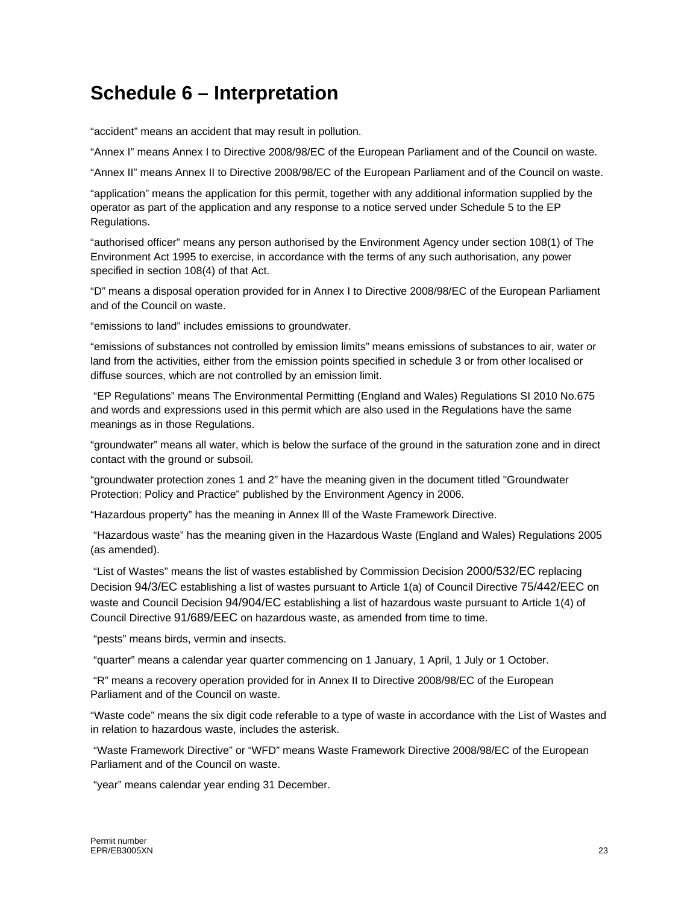## **Schedule 6 – Interpretation**

"accident" means an accident that may result in pollution.

"Annex I" means Annex I to Directive 2008/98/EC of the European Parliament and of the Council on waste.

"Annex II" means Annex II to Directive 2008/98/EC of the European Parliament and of the Council on waste.

"application" means the application for this permit, together with any additional information supplied by the operator as part of the application and any response to a notice served under Schedule 5 to the EP Regulations.

"authorised officer" means any person authorised by the Environment Agency under section 108(1) of The Environment Act 1995 to exercise, in accordance with the terms of any such authorisation, any power specified in section 108(4) of that Act.

"D" means a disposal operation provided for in Annex I to Directive 2008/98/EC of the European Parliament and of the Council on waste.

"emissions to land" includes emissions to groundwater.

"emissions of substances not controlled by emission limits" means emissions of substances to air, water or land from the activities, either from the emission points specified in schedule 3 or from other localised or diffuse sources, which are not controlled by an emission limit.

 "EP Regulations" means The Environmental Permitting (England and Wales) Regulations SI 2010 No.675 and words and expressions used in this permit which are also used in the Regulations have the same meanings as in those Regulations.

"groundwater" means all water, which is below the surface of the ground in the saturation zone and in direct contact with the ground or subsoil.

"groundwater protection zones 1 and 2" have the meaning given in the document titled "Groundwater Protection: Policy and Practice" published by the Environment Agency in 2006.

"Hazardous property" has the meaning in Annex lll of the Waste Framework Directive.

 "Hazardous waste" has the meaning given in the Hazardous Waste (England and Wales) Regulations 2005 (as amended).

 "List of Wastes" means the list of wastes established by Commission Decision 2000/532/EC replacing Decision 94/3/EC establishing a list of wastes pursuant to Article 1(a) of Council Directive 75/442/EEC on waste and Council Decision 94/904/EC establishing a list of hazardous waste pursuant to Article 1(4) of Council Directive 91/689/EEC on hazardous waste, as amended from time to time.

"pests" means birds, vermin and insects.

"quarter" means a calendar year quarter commencing on 1 January, 1 April, 1 July or 1 October.

 "R" means a recovery operation provided for in Annex II to Directive 2008/98/EC of the European Parliament and of the Council on waste.

"Waste code" means the six digit code referable to a type of waste in accordance with the List of Wastes and in relation to hazardous waste, includes the asterisk.

 "Waste Framework Directive" or "WFD" means Waste Framework Directive 2008/98/EC of the European Parliament and of the Council on waste.

"year" means calendar year ending 31 December.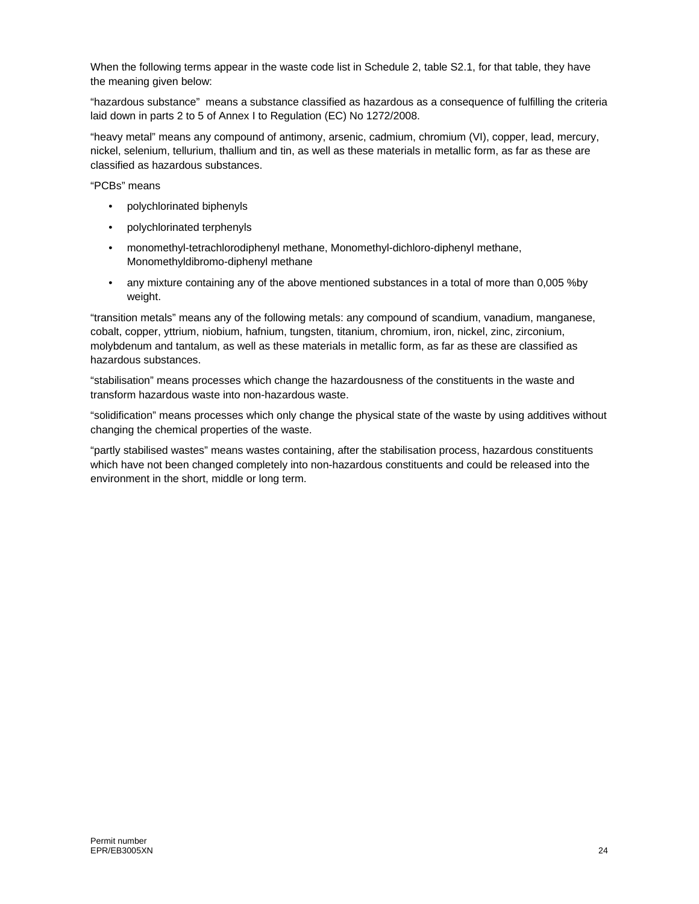When the following terms appear in the waste code list in Schedule 2, table S2.1, for that table, they have the meaning given below:

"hazardous substance" means a substance classified as hazardous as a consequence of fulfilling the criteria laid down in parts 2 to 5 of Annex I to Regulation (EC) No 1272/2008.

"heavy metal" means any compound of antimony, arsenic, cadmium, chromium (VI), copper, lead, mercury, nickel, selenium, tellurium, thallium and tin, as well as these materials in metallic form, as far as these are classified as hazardous substances.

"PCBs" means

- polychlorinated biphenyls
- polychlorinated terphenyls
- monomethyl-tetrachlorodiphenyl methane, Monomethyl-dichloro-diphenyl methane, Monomethyldibromo-diphenyl methane
- any mixture containing any of the above mentioned substances in a total of more than 0,005 %by weight.

"transition metals" means any of the following metals: any compound of scandium, vanadium, manganese, cobalt, copper, yttrium, niobium, hafnium, tungsten, titanium, chromium, iron, nickel, zinc, zirconium, molybdenum and tantalum, as well as these materials in metallic form, as far as these are classified as hazardous substances.

"stabilisation" means processes which change the hazardousness of the constituents in the waste and transform hazardous waste into non-hazardous waste.

"solidification" means processes which only change the physical state of the waste by using additives without changing the chemical properties of the waste.

"partly stabilised wastes" means wastes containing, after the stabilisation process, hazardous constituents which have not been changed completely into non-hazardous constituents and could be released into the environment in the short, middle or long term.